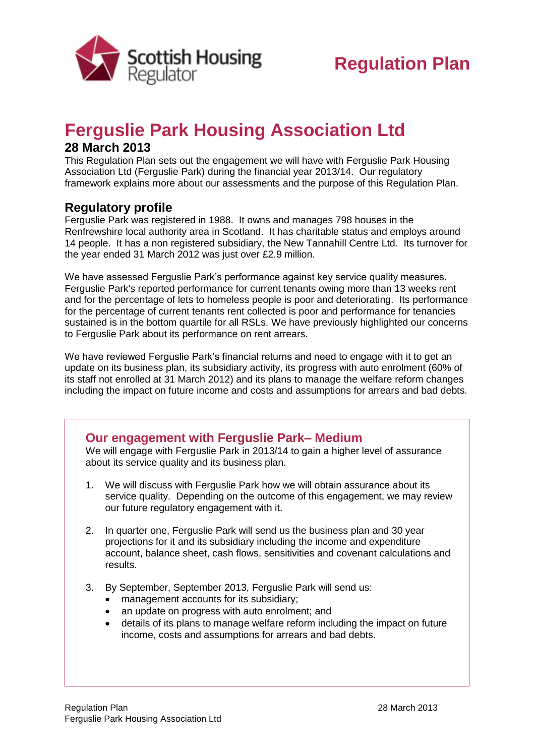

# **Ferguslie Park Housing Association Ltd**

### **28 March 2013**

This Regulation Plan sets out the engagement we will have with Ferguslie Park Housing Association Ltd (Ferguslie Park) during the financial year 2013/14. Our regulatory framework explains more about our assessments and the purpose of this Regulation Plan.

## **Regulatory profile**

Ferguslie Park was registered in 1988. It owns and manages 798 houses in the Renfrewshire local authority area in Scotland. It has charitable status and employs around 14 people. It has a non registered subsidiary, the New Tannahill Centre Ltd. Its turnover for the year ended 31 March 2012 was just over £2.9 million.

We have assessed Ferguslie Park's performance against key service quality measures. Ferguslie Park's reported performance for current tenants owing more than 13 weeks rent and for the percentage of lets to homeless people is poor and deteriorating. Its performance for the percentage of current tenants rent collected is poor and performance for tenancies sustained is in the bottom quartile for all RSLs. We have previously highlighted our concerns to Ferguslie Park about its performance on rent arrears.

We have reviewed Ferguslie Park's financial returns and need to engage with it to get an update on its business plan, its subsidiary activity, its progress with auto enrolment (60% of its staff not enrolled at 31 March 2012) and its plans to manage the welfare reform changes including the impact on future income and costs and assumptions for arrears and bad debts.

### **Our engagement with Ferguslie Park– Medium**

We will engage with Ferguslie Park in 2013/14 to gain a higher level of assurance about its service quality and its business plan.

- 1. We will discuss with Ferguslie Park how we will obtain assurance about its service quality. Depending on the outcome of this engagement, we may review our future regulatory engagement with it.
- 2. In quarter one, Ferguslie Park will send us the business plan and 30 year projections for it and its subsidiary including the income and expenditure account, balance sheet, cash flows, sensitivities and covenant calculations and results.
- 3. By September, September 2013, Ferguslie Park will send us:
	- management accounts for its subsidiary;
	- an update on progress with auto enrolment: and
	- details of its plans to manage welfare reform including the impact on future income, costs and assumptions for arrears and bad debts.